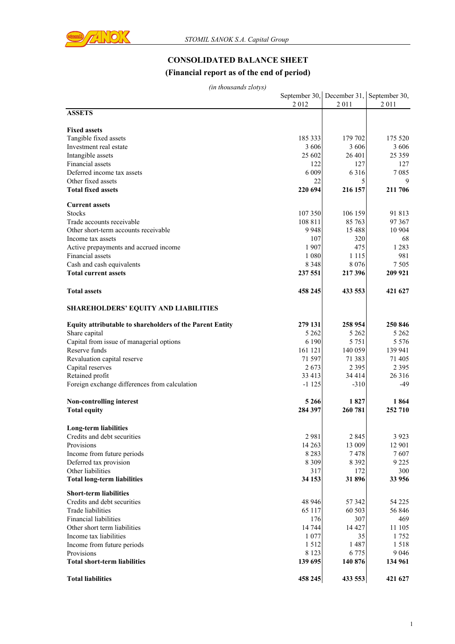

# **CONSOLIDATED BALANCE SHEET**

### **(Financial report as of the end of period)**

|                                                                 | 2012    | September 30, December 31, September 30,<br>2011 | 2011     |
|-----------------------------------------------------------------|---------|--------------------------------------------------|----------|
| <b>ASSETS</b>                                                   |         |                                                  |          |
| <b>Fixed assets</b>                                             |         |                                                  |          |
| Tangible fixed assets                                           | 185 333 | 179 702                                          | 175 520  |
| Investment real estate                                          | 3 606   | 3 606                                            | 3 606    |
| Intangible assets                                               | 25 602  | 26 401                                           | 25 3 5 9 |
| Financial assets                                                | 122     | 127                                              | 127      |
| Deferred income tax assets                                      | 6 0 0 9 | 6316                                             | 7085     |
| Other fixed assets                                              | 22      | 5                                                | 9        |
| <b>Total fixed assets</b>                                       | 220 694 | 216 157                                          | 211 706  |
| <b>Current assets</b>                                           |         |                                                  |          |
| <b>Stocks</b>                                                   | 107 350 | 106 159                                          | 91 813   |
| Trade accounts receivable                                       | 108 811 | 85 763                                           | 97 367   |
| Other short-term accounts receivable                            | 9948    | 15 4 8 8                                         | 10 904   |
| Income tax assets                                               | 107     | 320                                              | 68       |
| Active prepayments and accrued income                           | 1907    | 475                                              | 1 2 8 3  |
| Financial assets                                                | 1 0 8 0 | 1 1 1 5                                          | 981      |
| Cash and cash equivalents                                       | 8 3 4 8 | 8 0 7 6                                          | 7 5 0 5  |
| <b>Total current assets</b>                                     | 237 551 | 217 396                                          | 209 921  |
| <b>Total assets</b>                                             | 458 245 | 433 553                                          | 421 627  |
| <b>SHAREHOLDERS' EQUITY AND LIABILITIES</b>                     |         |                                                  |          |
| <b>Equity attributable to shareholders of the Parent Entity</b> | 279 131 | 258 954                                          | 250 846  |
| Share capital                                                   | 5 2 6 2 | 5 2 6 2                                          | 5 2 6 2  |
| Capital from issue of managerial options                        | 6 1 9 0 | 5 7 5 1                                          | 5 5 7 6  |
| Reserve funds                                                   | 161 121 | 140 059                                          | 139 941  |
| Revaluation capital reserve                                     | 71 597  | 71 383                                           | 71 405   |
| Capital reserves                                                | 2673    | 2 3 9 5                                          | 2 3 9 5  |
| Retained profit                                                 | 33 413  | 34 414                                           | 26 316   |
| Foreign exchange differences from calculation                   | $-1125$ | $-310$                                           | -49      |
| Non-controlling interest                                        | 5 2 6 6 | 1827                                             | 1864     |
| <b>Total equity</b>                                             | 284 397 | 260 781                                          | 252 710  |
| <b>Long-term liabilities</b>                                    |         |                                                  |          |
| Credits and debt securities                                     | 2 981   | 2 845                                            | 3 9 2 3  |
| Provisions                                                      | 14 26 3 | 13 009                                           | 12 901   |
| Income from future periods                                      | 8 2 8 3 | 7478                                             | 7607     |
| Deferred tax provision                                          | 8 3 0 9 | 8 3 9 2                                          | 9 2 2 5  |
| Other liabilities                                               | 317     | 172                                              | 300      |
| <b>Total long-term liabilities</b>                              | 34 153  | 31896                                            | 33 956   |
| <b>Short-term liabilities</b>                                   |         |                                                  |          |
| Credits and debt securities                                     | 48 946  | 57 342                                           | 54 225   |
| Trade liabilities                                               | 65 117  | 60 503                                           | 56 846   |
| <b>Financial liabilities</b>                                    | 176     | 307                                              | 469      |
| Other short term liabilities                                    | 14 744  | 14 4 27                                          | 11 105   |
| Income tax liabilities                                          | 1 0 7 7 | 35                                               | 1752     |
| Income from future periods                                      | 1512    | 1487                                             | 1518     |
| Provisions                                                      | 8 1 2 3 | 6 7 7 5                                          | 9 0 4 6  |
| <b>Total short-term liabilities</b>                             | 139 695 | 140 876                                          | 134 961  |
| <b>Total liabilities</b>                                        | 458 245 | 433 553                                          | 421 627  |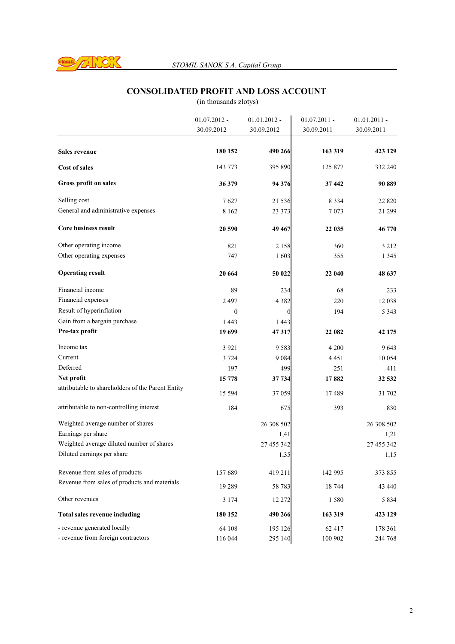

## **CONSOLIDATED PROFIT AND LOSS ACCOUNT**

|                                                   | $01.07.2012 -$ | $01.01.2012 -$ | $01.07.2011 -$ | $01.01.2011 -$ |
|---------------------------------------------------|----------------|----------------|----------------|----------------|
|                                                   | 30.09.2012     | 30.09.2012     | 30.09.2011     | 30.09.2011     |
|                                                   |                |                |                |                |
| <b>Sales revenue</b>                              | 180 152        | 490 266        | 163 319        | 423 129        |
| <b>Cost of sales</b>                              | 143 773        | 395 890        | 125 877        | 332 240        |
| Gross profit on sales                             | 36 379         | 94 376         | 37 442         | 90 889         |
| Selling cost                                      | 7627           | 21 536         | 8 3 3 4        | 22 8 20        |
| General and administrative expenses               | 8 1 6 2        | 23 373         | 7073           | 21 299         |
| <b>Core business result</b>                       | 20 590         | 49 467         | 22 035         | 46 770         |
| Other operating income                            | 821            | 2 1 5 8        | 360            | 3 2 1 2        |
| Other operating expenses                          | 747            | 1603           | 355            | 1 3 4 5        |
| <b>Operating result</b>                           | 20 664         | 50 022         | 22 040         | 48 637         |
| Financial income                                  | 89             | 234            | 68             | 233            |
| Financial expenses                                | 2 4 9 7        | 4 3 8 2        | 220            | 12 038         |
| Result of hyperinflation                          | $\mathbf{0}$   | $\theta$       | 194            | 5 3 4 3        |
| Gain from a bargain purchase                      | 1 4 4 3        | 1 4 4 3        |                |                |
| Pre-tax profit                                    | 19 699         | 47317          | 22 082         | 42 175         |
| Income tax                                        | 3 9 2 1        | 9583           | 4 200          | 9 643          |
| Current                                           | 3 7 2 4        | 9 0 8 4        | 4 4 5 1        | 10 0 54        |
| Deferred                                          | 197            | 499            | $-251$         | $-411$         |
| Net profit                                        | 15 778         | 37 734         | 17882          | 32 532         |
| attributable to shareholders of the Parent Entity | 15 5 94        | 37 059         | 17489          | 31 702         |
| attributable to non-controlling interest          | 184            | 675            | 393            | 830            |
| Weighted average number of shares                 |                | 26 308 502     |                | 26 308 502     |
| Earnings per share                                |                | 1,41           |                | 1,21           |
| Weighted average diluted number of shares         |                | 27 455 342     |                | 27 455 342     |
| Diluted earnings per share                        |                | 1,35           |                | 1,15           |
| Revenue from sales of products                    | 157 689        | 419 211        | 142 995        | 373 855        |
| Revenue from sales of products and materials      | 19 28 9        | 58 783         | 18 744         | 43 440         |
| Other revenues                                    | 3 1 7 4        | 12 272         | 1580           | 5 8 3 4        |
| <b>Total sales revenue including</b>              | 180 152        | 490 266        | 163 319        | 423 129        |
| - revenue generated locally                       | 64 108         | 195 126        | 62 417         | 178 361        |
| - revenue from foreign contractors                | 116 044        | 295 140        | 100 902        | 244 768        |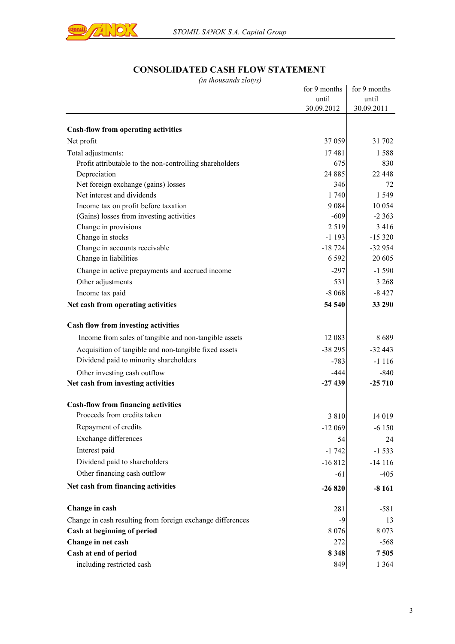

# **CONSOLIDATED CASH FLOW STATEMENT**

| <i>ut monsumo ziviyo</i>                                   | for 9 months | for 9 months |
|------------------------------------------------------------|--------------|--------------|
|                                                            | until        | until        |
|                                                            | 30.09.2012   | 30.09.2011   |
| <b>Cash-flow from operating activities</b>                 |              |              |
| Net profit                                                 | 37 059       | 31 702       |
| Total adjustments:                                         | 17481        | 1588         |
| Profit attributable to the non-controlling shareholders    | 675          | 830          |
| Depreciation                                               | 24 8 85      | 22 448       |
| Net foreign exchange (gains) losses                        | 346          | 72           |
| Net interest and dividends                                 | 1 740        | 1 5 4 9      |
| Income tax on profit before taxation                       | 9084         | 10 0 54      |
| (Gains) losses from investing activities                   | $-609$       | $-2363$      |
| Change in provisions                                       | 2519         | 3 4 1 6      |
| Change in stocks                                           | $-1193$      | $-15320$     |
| Change in accounts receivable                              | $-18724$     | $-32954$     |
| Change in liabilities                                      | 6 5 9 2      | 20 605       |
| Change in active prepayments and accrued income            | $-297$       | $-1590$      |
| Other adjustments                                          | 531          | 3 2 6 8      |
| Income tax paid                                            | $-8068$      | $-8427$      |
| Net cash from operating activities                         | 54 540       | 33 290       |
| Cash flow from investing activities                        |              |              |
| Income from sales of tangible and non-tangible assets      | 12 083       | 8689         |
| Acquisition of tangible and non-tangible fixed assets      | $-38295$     | $-32443$     |
| Dividend paid to minority shareholders                     | $-783$       | $-1116$      |
| Other investing cash outflow                               | $-444$       | $-840$       |
| Net cash from investing activities                         | $-27439$     | $-25710$     |
| <b>Cash-flow from financing activities</b>                 |              |              |
| Proceeds from credits taken                                | 3810         | 14 019       |
| Repayment of credits                                       | $-12069$     | $-6150$      |
| Exchange differences                                       | 54           | 24           |
| Interest paid                                              | $-1742$      | $-1533$      |
| Dividend paid to shareholders                              |              |              |
|                                                            | $-16812$     | $-14116$     |
| Other financing cash outflow                               | $-61$        | $-405$       |
| Net cash from financing activities                         | $-26820$     | $-8161$      |
| Change in cash                                             | 281          | $-581$       |
| Change in cash resulting from foreign exchange differences | $-9$         | 13           |
| Cash at beginning of period                                | 8 0 7 6      | 8 0 7 3      |
| Change in net cash                                         | 272          | $-568$       |
| Cash at end of period                                      | 8 3 4 8      | 7505         |
| including restricted cash                                  | 849          | 1 3 6 4      |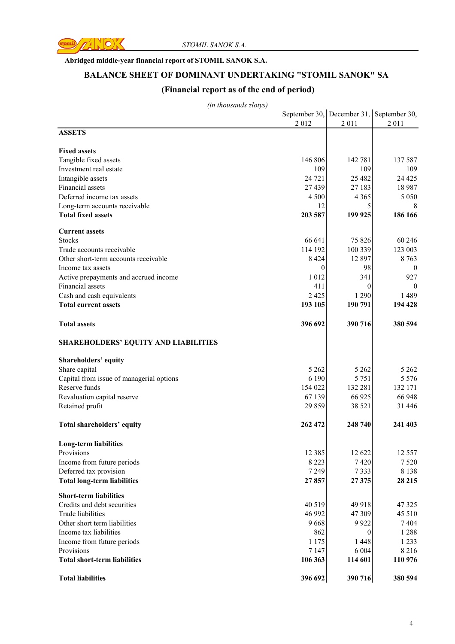

#### **Abridged middle-year financial report of STOMIL SANOK S.A.**

#### **BALANCE SHEET OF DOMINANT UNDERTAKING "STOMIL SANOK" SA**

### **(Financial report as of the end of period)**

|                                                   |                |                     | September 30, December 31, September 30, |
|---------------------------------------------------|----------------|---------------------|------------------------------------------|
|                                                   | 2012           | 2011                | 2 0 1 1                                  |
| <b>ASSETS</b>                                     |                |                     |                                          |
| <b>Fixed assets</b>                               |                |                     |                                          |
| Tangible fixed assets                             | 146 806        | 142 781             | 137 587                                  |
| Investment real estate                            | 109            | 109                 | 109                                      |
| Intangible assets                                 | 24 7 21        | 25 4 82             | 24 4 25                                  |
| Financial assets                                  | 27 439         | 27 183              | 18 987                                   |
| Deferred income tax assets                        | 4 5 0 0        | 4 3 6 5             | 5 0 5 0                                  |
| Long-term accounts receivable                     | 12             | 5                   | 8                                        |
| <b>Total fixed assets</b>                         | 203 587        | 199 925             | 186 166                                  |
|                                                   |                |                     |                                          |
| <b>Current assets</b><br><b>Stocks</b>            | 66 641         | 75 826              | 60 24 6                                  |
| Trade accounts receivable                         | 114 192        | 100 339             | 123 003                                  |
| Other short-term accounts receivable              | 8 4 2 4        | 12 897              | 8763                                     |
| Income tax assets                                 | $\theta$       | 98                  | $\bf{0}$                                 |
| Active prepayments and accrued income             | 1 0 1 2        | 341                 | 927                                      |
| Financial assets                                  | 411            | $\overline{0}$      | $\theta$                                 |
| Cash and cash equivalents                         | 2 4 2 5        | 1 2 9 0             | 1489                                     |
| <b>Total current assets</b>                       | 193 105        | 190 791             | 194 428                                  |
|                                                   |                |                     |                                          |
| <b>Total assets</b>                               | 396 692        | 390 716             | 380 594                                  |
| <b>SHAREHOLDERS' EQUITY AND LIABILITIES</b>       |                |                     |                                          |
| <b>Shareholders' equity</b>                       |                |                     |                                          |
| Share capital                                     | 5 2 6 2        | 5 2 6 2             | 5 2 6 2                                  |
| Capital from issue of managerial options          | 6 1 9 0        | 5 7 5 1             | 5 5 7 6                                  |
| Reserve funds                                     | 154 022        | 132 281             | 132 171                                  |
| Revaluation capital reserve                       | 67 139         | 66 925              | 66 948                                   |
| Retained profit                                   | 29 859         | 38 5 21             | 31 4 4 6                                 |
| Total shareholders' equity                        | 262 472        | 248 740             | 241 403                                  |
|                                                   |                |                     |                                          |
| <b>Long-term liabilities</b><br>Provisions        | 12 3 8 5       | 12 622              | 12 5 5 7                                 |
| Income from future periods                        | 8 2 2 3        | 7420                | 7520                                     |
| Deferred tax provision                            | 7 2 4 9        | 7333                | 8 1 3 8                                  |
| <b>Total long-term liabilities</b>                | 27857          | 27375               | 28 215                                   |
|                                                   |                |                     |                                          |
| <b>Short-term liabilities</b>                     |                |                     |                                          |
| Credits and debt securities                       | 40 519         | 49 918              | 47 3 25                                  |
| Trade liabilities                                 | 46 992         | 47 309              | 45 510                                   |
| Other short term liabilities                      | 9668           | 9922                | 7404                                     |
| Income tax liabilities                            | 862<br>1 1 7 5 | $\theta$<br>1 4 4 8 | 1288<br>1 2 3 3                          |
| Income from future periods                        | 7 1 4 7        | 6 0 0 4             | 8 2 1 6                                  |
| Provisions<br><b>Total short-term liabilities</b> | 106 363        | 114 601             | 110 976                                  |
|                                                   |                |                     |                                          |
| <b>Total liabilities</b>                          | 396 692        | 390 716             | 380 594                                  |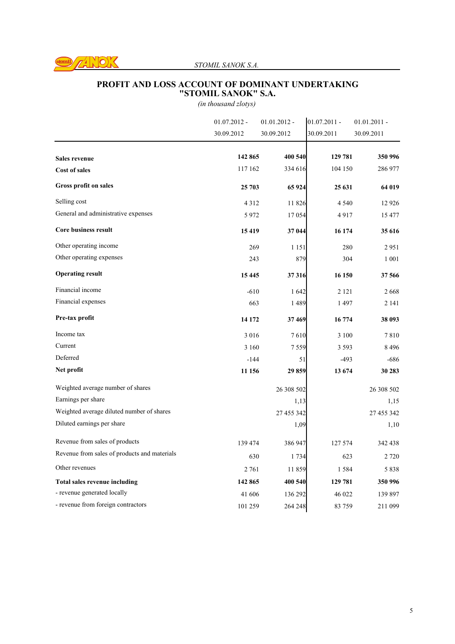

#### *STOMIL SANOK S.A.*

#### **PROFIT AND LOSS ACCOUNT OF DOMINANT UNDERTAKING "STOMIL SANOK" S.A.**

|                                              | $01.07.2012 -$ | $01.01.2012 -$ | $01.07.2011 -$ | $01.01.2011 -$ |
|----------------------------------------------|----------------|----------------|----------------|----------------|
|                                              | 30.09.2012     | 30.09.2012     | 30.09.2011     | 30.09.2011     |
|                                              | 142 865        | 400 540        | 129 781        | 350 996        |
| <b>Sales revenue</b>                         | 117 162        |                |                |                |
| <b>Cost of sales</b>                         |                | 334 616        | 104 150        | 286 977        |
| Gross profit on sales                        | 25 703         | 65 924         | 25 631         | 64 019         |
| Selling cost                                 | 4312           | 11 826         | 4 5 4 0        | 12 9 26        |
| General and administrative expenses          | 5972           | 17054          | 4917           | 15 477         |
| <b>Core business result</b>                  | 15419          | 37 044         | 16 174         | 35 616         |
| Other operating income                       | 269            | 1 1 5 1        | 280            | 2951           |
| Other operating expenses                     | 243            | 879            | 304            | 1 0 0 1        |
| <b>Operating result</b>                      | 15445          | 37316          | 16 150         | 37 566         |
| Financial income                             | $-610$         | 1642           | 2 1 2 1        | 2668           |
| Financial expenses                           | 663            | 1489           | 1497           | 2 14 1         |
| Pre-tax profit                               | 14 172         | 37 469         | 16 774         | 38 093         |
| Income tax                                   | 3016           | 7610           | 3 100          | 7810           |
| Current                                      | 3 1 6 0        | 7559           | 3 5 9 3        | 8496           |
| Deferred                                     | $-144$         | 51             | $-493$         | $-686$         |
| Net profit                                   | 11 156         | 29859          | 13 674         | 30 283         |
| Weighted average number of shares            |                | 26 308 502     |                | 26 308 502     |
| Earnings per share                           |                | 1,13           |                | 1,15           |
| Weighted average diluted number of shares    |                | 27 455 342     |                | 27 455 342     |
| Diluted earnings per share                   |                | 1,09           |                | 1,10           |
| Revenue from sales of products               | 139 474        | 386 947        | 127 574        | 342 438        |
| Revenue from sales of products and materials | 630            | 1 7 3 4        | 623            | 2 7 2 0        |
| Other revenues                               | 2 761          | 11859          | 1584           | 5838           |
| <b>Total sales revenue including</b>         | 142 865        | 400 540        | 129 781        | 350 996        |
| - revenue generated locally                  | 41 606         | 136 292        | 46 022         | 139 897        |
| - revenue from foreign contractors           | 101 259        | 264 248        | 83 759         | 211 099        |